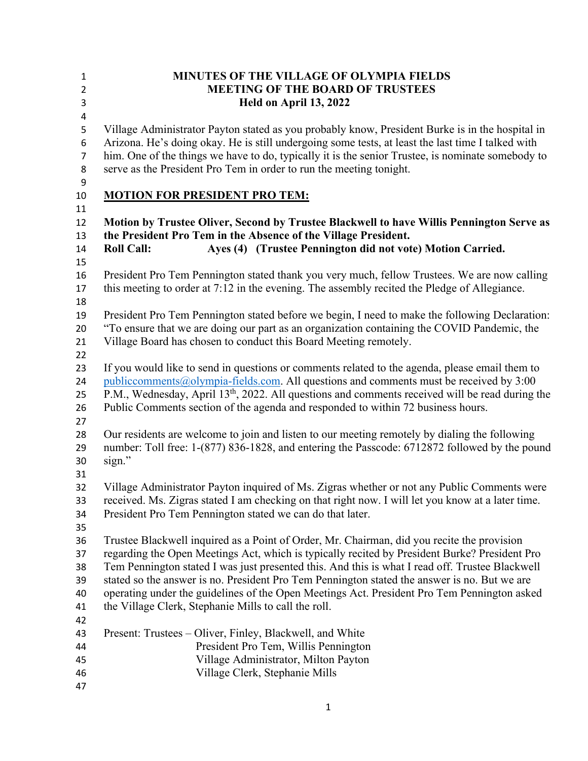| MINUTES OF THE VILLAGE OF OLYMPIA FIELDS<br><b>MEETING OF THE BOARD OF TRUSTEES</b><br>Held on April 13, 2022                                                                                                                                                                                                                                                                                                                                                                                                                                         |
|-------------------------------------------------------------------------------------------------------------------------------------------------------------------------------------------------------------------------------------------------------------------------------------------------------------------------------------------------------------------------------------------------------------------------------------------------------------------------------------------------------------------------------------------------------|
| Village Administrator Payton stated as you probably know, President Burke is in the hospital in<br>Arizona. He's doing okay. He is still undergoing some tests, at least the last time I talked with<br>him. One of the things we have to do, typically it is the senior Trustee, is nominate somebody to<br>serve as the President Pro Tem in order to run the meeting tonight.                                                                                                                                                                      |
| <b>MOTION FOR PRESIDENT PRO TEM:</b>                                                                                                                                                                                                                                                                                                                                                                                                                                                                                                                  |
| Motion by Trustee Oliver, Second by Trustee Blackwell to have Willis Pennington Serve as<br>the President Pro Tem in the Absence of the Village President.<br>Ayes (4) (Trustee Pennington did not vote) Motion Carried.<br><b>Roll Call:</b>                                                                                                                                                                                                                                                                                                         |
| President Pro Tem Pennington stated thank you very much, fellow Trustees. We are now calling<br>this meeting to order at 7:12 in the evening. The assembly recited the Pledge of Allegiance.                                                                                                                                                                                                                                                                                                                                                          |
| President Pro Tem Pennington stated before we begin, I need to make the following Declaration:<br>"To ensure that we are doing our part as an organization containing the COVID Pandemic, the<br>Village Board has chosen to conduct this Board Meeting remotely.                                                                                                                                                                                                                                                                                     |
| If you would like to send in questions or comments related to the agenda, please email them to<br>$public comments@olympia-fields.com.$ All questions and comments must be received by 3:00<br>P.M., Wednesday, April 13 <sup>th</sup> , 2022. All questions and comments received will be read during the<br>Public Comments section of the agenda and responded to within 72 business hours.                                                                                                                                                        |
| Our residents are welcome to join and listen to our meeting remotely by dialing the following<br>number: Toll free: 1-(877) 836-1828, and entering the Passcode: 6712872 followed by the pound<br>sign."                                                                                                                                                                                                                                                                                                                                              |
| Village Administrator Payton inquired of Ms. Zigras whether or not any Public Comments were<br>received. Ms. Zigras stated I am checking on that right now. I will let you know at a later time.<br>President Pro Tem Pennington stated we can do that later.                                                                                                                                                                                                                                                                                         |
| Trustee Blackwell inquired as a Point of Order, Mr. Chairman, did you recite the provision<br>regarding the Open Meetings Act, which is typically recited by President Burke? President Pro<br>Tem Pennington stated I was just presented this. And this is what I read off. Trustee Blackwell<br>stated so the answer is no. President Pro Tem Pennington stated the answer is no. But we are<br>operating under the guidelines of the Open Meetings Act. President Pro Tem Pennington asked<br>the Village Clerk, Stephanie Mills to call the roll. |
| Present: Trustees – Oliver, Finley, Blackwell, and White<br>President Pro Tem, Willis Pennington<br>Village Administrator, Milton Payton<br>Village Clerk, Stephanie Mills                                                                                                                                                                                                                                                                                                                                                                            |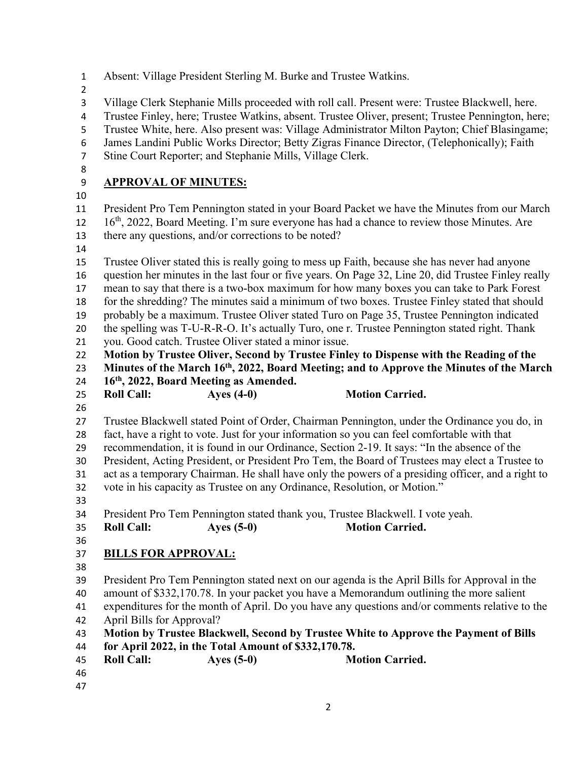| $\mathbf{1}$                                                                                     | Absent: Village President Sterling M. Burke and Trustee Watkins.                                                                                                                                                                                                                                                                                                                                                                                                 |  |  |  |  |
|--------------------------------------------------------------------------------------------------|------------------------------------------------------------------------------------------------------------------------------------------------------------------------------------------------------------------------------------------------------------------------------------------------------------------------------------------------------------------------------------------------------------------------------------------------------------------|--|--|--|--|
| $\overline{2}$<br>$\overline{\mathbf{3}}$<br>$\overline{\mathbf{r}}$<br>5<br>6<br>$\overline{7}$ | Village Clerk Stephanie Mills proceeded with roll call. Present were: Trustee Blackwell, here.<br>Trustee Finley, here; Trustee Watkins, absent. Trustee Oliver, present; Trustee Pennington, here;<br>Trustee White, here. Also present was: Village Administrator Milton Payton; Chief Blasingame;<br>James Landini Public Works Director; Betty Zigras Finance Director, (Telephonically); Faith<br>Stine Court Reporter; and Stephanie Mills, Village Clerk. |  |  |  |  |
| 8                                                                                                |                                                                                                                                                                                                                                                                                                                                                                                                                                                                  |  |  |  |  |
| 9                                                                                                | <b>APPROVAL OF MINUTES:</b>                                                                                                                                                                                                                                                                                                                                                                                                                                      |  |  |  |  |
| 10                                                                                               |                                                                                                                                                                                                                                                                                                                                                                                                                                                                  |  |  |  |  |
| 11                                                                                               | President Pro Tem Pennington stated in your Board Packet we have the Minutes from our March                                                                                                                                                                                                                                                                                                                                                                      |  |  |  |  |
| 12                                                                                               | 16 <sup>th</sup> , 2022, Board Meeting. I'm sure everyone has had a chance to review those Minutes. Are                                                                                                                                                                                                                                                                                                                                                          |  |  |  |  |
| 13                                                                                               | there any questions, and/or corrections to be noted?                                                                                                                                                                                                                                                                                                                                                                                                             |  |  |  |  |
| 14                                                                                               |                                                                                                                                                                                                                                                                                                                                                                                                                                                                  |  |  |  |  |
| 15<br>16                                                                                         | Trustee Oliver stated this is really going to mess up Faith, because she has never had anyone                                                                                                                                                                                                                                                                                                                                                                    |  |  |  |  |
| 17                                                                                               | question her minutes in the last four or five years. On Page 32, Line 20, did Trustee Finley really<br>mean to say that there is a two-box maximum for how many boxes you can take to Park Forest                                                                                                                                                                                                                                                                |  |  |  |  |
| 18                                                                                               | for the shredding? The minutes said a minimum of two boxes. Trustee Finley stated that should                                                                                                                                                                                                                                                                                                                                                                    |  |  |  |  |
| 19                                                                                               | probably be a maximum. Trustee Oliver stated Turo on Page 35, Trustee Pennington indicated                                                                                                                                                                                                                                                                                                                                                                       |  |  |  |  |
| 20                                                                                               | the spelling was T-U-R-R-O. It's actually Turo, one r. Trustee Pennington stated right. Thank                                                                                                                                                                                                                                                                                                                                                                    |  |  |  |  |
| 21                                                                                               | you. Good catch. Trustee Oliver stated a minor issue.                                                                                                                                                                                                                                                                                                                                                                                                            |  |  |  |  |
| 22                                                                                               | Motion by Trustee Oliver, Second by Trustee Finley to Dispense with the Reading of the                                                                                                                                                                                                                                                                                                                                                                           |  |  |  |  |
| 23                                                                                               | Minutes of the March 16 <sup>th</sup> , 2022, Board Meeting; and to Approve the Minutes of the March                                                                                                                                                                                                                                                                                                                                                             |  |  |  |  |
| 24                                                                                               | 16th, 2022, Board Meeting as Amended.                                                                                                                                                                                                                                                                                                                                                                                                                            |  |  |  |  |
| 25                                                                                               | <b>Motion Carried.</b><br>Ayes $(4-0)$<br><b>Roll Call:</b>                                                                                                                                                                                                                                                                                                                                                                                                      |  |  |  |  |
| 26                                                                                               |                                                                                                                                                                                                                                                                                                                                                                                                                                                                  |  |  |  |  |
| 27                                                                                               | Trustee Blackwell stated Point of Order, Chairman Pennington, under the Ordinance you do, in                                                                                                                                                                                                                                                                                                                                                                     |  |  |  |  |
| 28                                                                                               | fact, have a right to vote. Just for your information so you can feel comfortable with that                                                                                                                                                                                                                                                                                                                                                                      |  |  |  |  |
| 29                                                                                               | recommendation, it is found in our Ordinance, Section 2-19. It says: "In the absence of the                                                                                                                                                                                                                                                                                                                                                                      |  |  |  |  |
| 30                                                                                               | President, Acting President, or President Pro Tem, the Board of Trustees may elect a Trustee to                                                                                                                                                                                                                                                                                                                                                                  |  |  |  |  |
| 31                                                                                               | act as a temporary Chairman. He shall have only the powers of a presiding officer, and a right to                                                                                                                                                                                                                                                                                                                                                                |  |  |  |  |
| 32                                                                                               | vote in his capacity as Trustee on any Ordinance, Resolution, or Motion."                                                                                                                                                                                                                                                                                                                                                                                        |  |  |  |  |
| 33                                                                                               |                                                                                                                                                                                                                                                                                                                                                                                                                                                                  |  |  |  |  |
| 34                                                                                               | President Pro Tem Pennington stated thank you, Trustee Blackwell. I vote yeah.                                                                                                                                                                                                                                                                                                                                                                                   |  |  |  |  |
| 35                                                                                               | <b>Motion Carried.</b><br>Ayes $(5-0)$<br><b>Roll Call:</b>                                                                                                                                                                                                                                                                                                                                                                                                      |  |  |  |  |
| 36                                                                                               |                                                                                                                                                                                                                                                                                                                                                                                                                                                                  |  |  |  |  |
| 37                                                                                               | <b>BILLS FOR APPROVAL:</b>                                                                                                                                                                                                                                                                                                                                                                                                                                       |  |  |  |  |
| 38                                                                                               |                                                                                                                                                                                                                                                                                                                                                                                                                                                                  |  |  |  |  |
| 39                                                                                               | President Pro Tem Pennington stated next on our agenda is the April Bills for Approval in the                                                                                                                                                                                                                                                                                                                                                                    |  |  |  |  |
| 40                                                                                               | amount of \$332,170.78. In your packet you have a Memorandum outlining the more salient                                                                                                                                                                                                                                                                                                                                                                          |  |  |  |  |
| 41                                                                                               | expenditures for the month of April. Do you have any questions and/or comments relative to the                                                                                                                                                                                                                                                                                                                                                                   |  |  |  |  |
| 42                                                                                               | April Bills for Approval?                                                                                                                                                                                                                                                                                                                                                                                                                                        |  |  |  |  |
| 43                                                                                               | Motion by Trustee Blackwell, Second by Trustee White to Approve the Payment of Bills                                                                                                                                                                                                                                                                                                                                                                             |  |  |  |  |
| 44                                                                                               | for April 2022, in the Total Amount of \$332,170.78.                                                                                                                                                                                                                                                                                                                                                                                                             |  |  |  |  |
| 45                                                                                               | <b>Motion Carried.</b><br><b>Roll Call:</b><br>Ayes $(5-0)$                                                                                                                                                                                                                                                                                                                                                                                                      |  |  |  |  |
| 46                                                                                               |                                                                                                                                                                                                                                                                                                                                                                                                                                                                  |  |  |  |  |
| 47                                                                                               |                                                                                                                                                                                                                                                                                                                                                                                                                                                                  |  |  |  |  |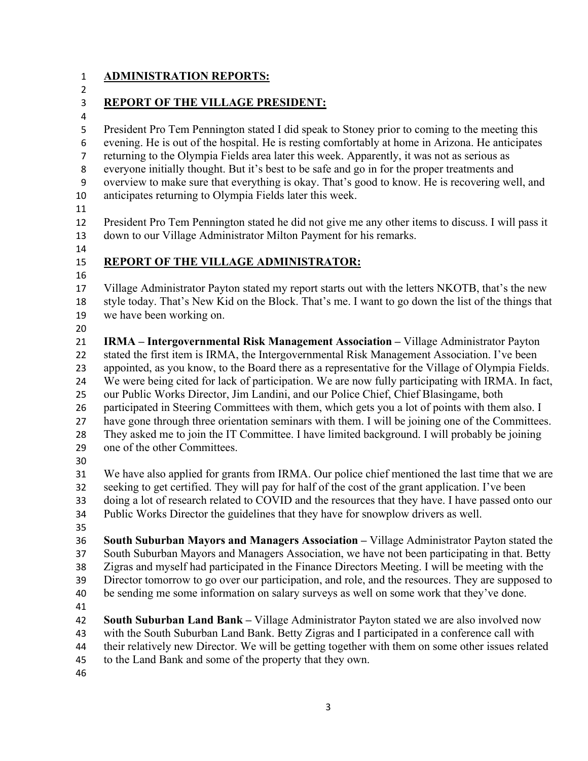#### **ADMINISTRATION REPORTS:**

### **REPORT OF THE VILLAGE PRESIDENT:**

 President Pro Tem Pennington stated I did speak to Stoney prior to coming to the meeting this evening. He is out of the hospital. He is resting comfortably at home in Arizona. He anticipates returning to the Olympia Fields area later this week. Apparently, it was not as serious as everyone initially thought. But it's best to be safe and go in for the proper treatments and overview to make sure that everything is okay. That's good to know. He is recovering well, and anticipates returning to Olympia Fields later this week. President Pro Tem Pennington stated he did not give me any other items to discuss. I will pass it down to our Village Administrator Milton Payment for his remarks. **REPORT OF THE VILLAGE ADMINISTRATOR:**  Village Administrator Payton stated my report starts out with the letters NKOTB, that's the new style today. That's New Kid on the Block. That's me. I want to go down the list of the things that we have been working on. **IRMA – Intergovernmental Risk Management Association –** Village Administrator Payton stated the first item is IRMA, the Intergovernmental Risk Management Association. I've been appointed, as you know, to the Board there as a representative for the Village of Olympia Fields. We were being cited for lack of participation. We are now fully participating with IRMA. In fact, our Public Works Director, Jim Landini, and our Police Chief, Chief Blasingame, both participated in Steering Committees with them, which gets you a lot of points with them also. I have gone through three orientation seminars with them. I will be joining one of the Committees. They asked me to join the IT Committee. I have limited background. I will probably be joining one of the other Committees. We have also applied for grants from IRMA. Our police chief mentioned the last time that we are seeking to get certified. They will pay for half of the cost of the grant application. I've been doing a lot of research related to COVID and the resources that they have. I have passed onto our Public Works Director the guidelines that they have for snowplow drivers as well. **South Suburban Mayors and Managers Association –** Village Administrator Payton stated the South Suburban Mayors and Managers Association, we have not been participating in that. Betty Zigras and myself had participated in the Finance Directors Meeting. I will be meeting with the Director tomorrow to go over our participation, and role, and the resources. They are supposed to be sending me some information on salary surveys as well on some work that they've done. 

- **South Suburban Land Bank** Village Administrator Payton stated we are also involved now
- with the South Suburban Land Bank. Betty Zigras and I participated in a conference call with
- their relatively new Director. We will be getting together with them on some other issues related
- to the Land Bank and some of the property that they own.
-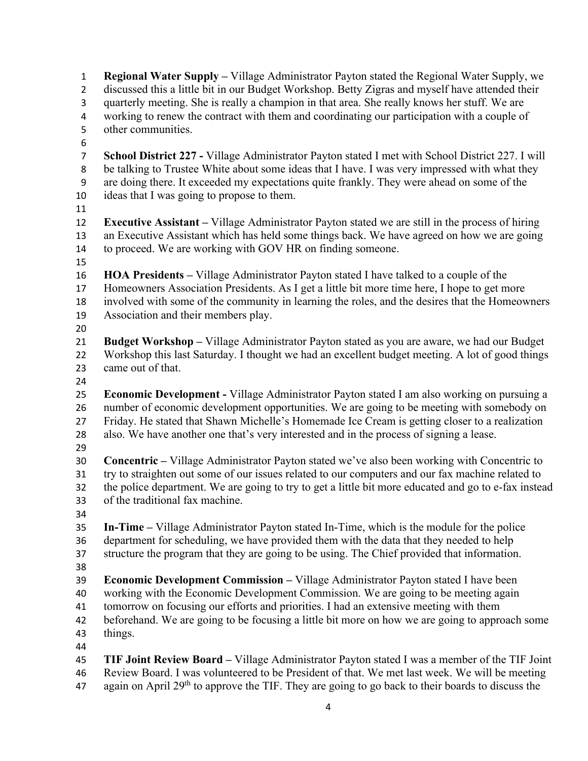**Regional Water Supply –** Village Administrator Payton stated the Regional Water Supply, we discussed this a little bit in our Budget Workshop. Betty Zigras and myself have attended their quarterly meeting. She is really a champion in that area. She really knows her stuff. We are working to renew the contract with them and coordinating our participation with a couple of other communities. **School District 227 -** Village Administrator Payton stated I met with School District 227. I will be talking to Trustee White about some ideas that I have. I was very impressed with what they are doing there. It exceeded my expectations quite frankly. They were ahead on some of the ideas that I was going to propose to them. **Executive Assistant –** Village Administrator Payton stated we are still in the process of hiring an Executive Assistant which has held some things back. We have agreed on how we are going to proceed. We are working with GOV HR on finding someone. **HOA Presidents –** Village Administrator Payton stated I have talked to a couple of the Homeowners Association Presidents. As I get a little bit more time here, I hope to get more involved with some of the community in learning the roles, and the desires that the Homeowners Association and their members play. **Budget Workshop –** Village Administrator Payton stated as you are aware, we had our Budget Workshop this last Saturday. I thought we had an excellent budget meeting. A lot of good things came out of that. **Economic Development -** Village Administrator Payton stated I am also working on pursuing a number of economic development opportunities. We are going to be meeting with somebody on Friday. He stated that Shawn Michelle's Homemade Ice Cream is getting closer to a realization also. We have another one that's very interested and in the process of signing a lease. **Concentric –** Village Administrator Payton stated we've also been working with Concentric to try to straighten out some of our issues related to our computers and our fax machine related to the police department. We are going to try to get a little bit more educated and go to e-fax instead of the traditional fax machine. **In-Time –** Village Administrator Payton stated In-Time, which is the module for the police department for scheduling, we have provided them with the data that they needed to help structure the program that they are going to be using. The Chief provided that information. **Economic Development Commission –** Village Administrator Payton stated I have been working with the Economic Development Commission. We are going to be meeting again tomorrow on focusing our efforts and priorities. I had an extensive meeting with them beforehand. We are going to be focusing a little bit more on how we are going to approach some things. **TIF Joint Review Board –** Village Administrator Payton stated I was a member of the TIF Joint Review Board. I was volunteered to be President of that. We met last week. We will be meeting 47 again on April 29<sup>th</sup> to approve the TIF. They are going to go back to their boards to discuss the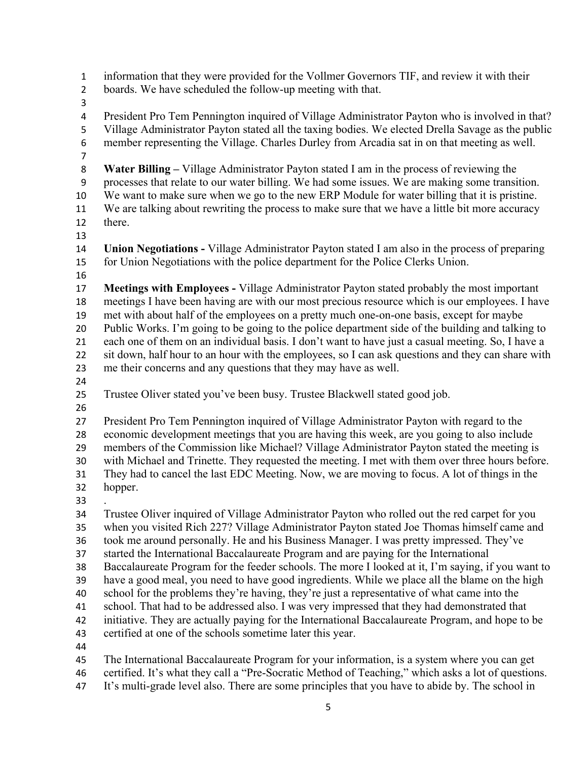information that they were provided for the Vollmer Governors TIF, and review it with their boards. We have scheduled the follow-up meeting with that. President Pro Tem Pennington inquired of Village Administrator Payton who is involved in that? Village Administrator Payton stated all the taxing bodies. We elected Drella Savage as the public member representing the Village. Charles Durley from Arcadia sat in on that meeting as well. **Water Billing –** Village Administrator Payton stated I am in the process of reviewing the processes that relate to our water billing. We had some issues. We are making some transition. We want to make sure when we go to the new ERP Module for water billing that it is pristine. We are talking about rewriting the process to make sure that we have a little bit more accuracy there. **Union Negotiations -** Village Administrator Payton stated I am also in the process of preparing for Union Negotiations with the police department for the Police Clerks Union. **Meetings with Employees -** Village Administrator Payton stated probably the most important meetings I have been having are with our most precious resource which is our employees. I have met with about half of the employees on a pretty much one-on-one basis, except for maybe Public Works. I'm going to be going to the police department side of the building and talking to each one of them on an individual basis. I don't want to have just a casual meeting. So, I have a sit down, half hour to an hour with the employees, so I can ask questions and they can share with me their concerns and any questions that they may have as well. Trustee Oliver stated you've been busy. Trustee Blackwell stated good job. President Pro Tem Pennington inquired of Village Administrator Payton with regard to the economic development meetings that you are having this week, are you going to also include members of the Commission like Michael? Village Administrator Payton stated the meeting is with Michael and Trinette. They requested the meeting. I met with them over three hours before. They had to cancel the last EDC Meeting. Now, we are moving to focus. A lot of things in the hopper. Trustee Oliver inquired of Village Administrator Payton who rolled out the red carpet for you when you visited Rich 227? Village Administrator Payton stated Joe Thomas himself came and took me around personally. He and his Business Manager. I was pretty impressed. They've started the International Baccalaureate Program and are paying for the International Baccalaureate Program for the feeder schools. The more I looked at it, I'm saying, if you want to have a good meal, you need to have good ingredients. While we place all the blame on the high school for the problems they're having, they're just a representative of what came into the school. That had to be addressed also. I was very impressed that they had demonstrated that initiative. They are actually paying for the International Baccalaureate Program, and hope to be certified at one of the schools sometime later this year. The International Baccalaureate Program for your information, is a system where you can get certified. It's what they call a "Pre-Socratic Method of Teaching," which asks a lot of questions. It's multi-grade level also. There are some principles that you have to abide by. The school in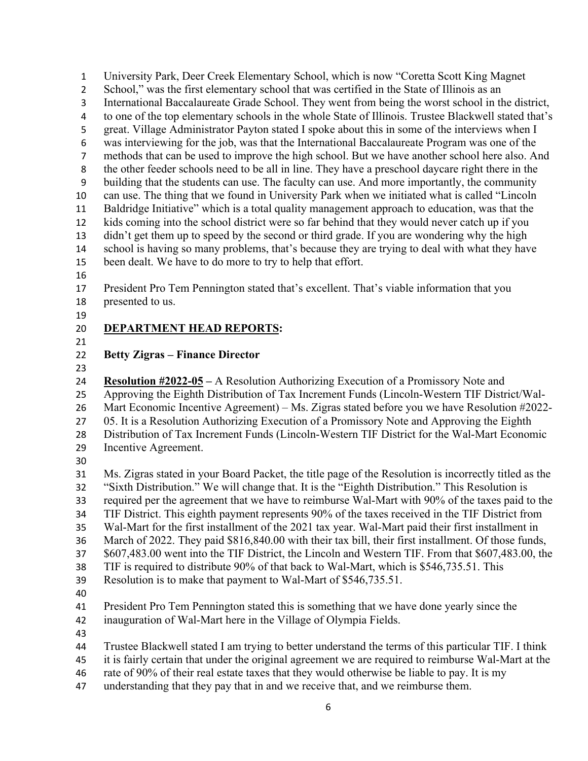University Park, Deer Creek Elementary School, which is now "Coretta Scott King Magnet School," was the first elementary school that was certified in the State of Illinois as an International Baccalaureate Grade School. They went from being the worst school in the district, to one of the top elementary schools in the whole State of Illinois. Trustee Blackwell stated that's great. Village Administrator Payton stated I spoke about this in some of the interviews when I was interviewing for the job, was that the International Baccalaureate Program was one of the methods that can be used to improve the high school. But we have another school here also. And the other feeder schools need to be all in line. They have a preschool daycare right there in the building that the students can use. The faculty can use. And more importantly, the community can use. The thing that we found in University Park when we initiated what is called "Lincoln Baldridge Initiative" which is a total quality management approach to education, was that the kids coming into the school district were so far behind that they would never catch up if you didn't get them up to speed by the second or third grade. If you are wondering why the high school is having so many problems, that's because they are trying to deal with what they have been dealt. We have to do more to try to help that effort. President Pro Tem Pennington stated that's excellent. That's viable information that you presented to us. **DEPARTMENT HEAD REPORTS:** 

#### **Betty Zigras – Finance Director**

**Resolution #2022-05 –** A Resolution Authorizing Execution of a Promissory Note and

Approving the Eighth Distribution of Tax Increment Funds (Lincoln-Western TIF District/Wal-

Mart Economic Incentive Agreement) – Ms. Zigras stated before you we have Resolution #2022-

- 27 05. It is a Resolution Authorizing Execution of a Promissory Note and Approving the Eighth Distribution of Tax Increment Funds (Lincoln-Western TIF District for the Wal-Mart Economic
- Incentive Agreement.
- 

 Ms. Zigras stated in your Board Packet, the title page of the Resolution is incorrectly titled as the "Sixth Distribution." We will change that. It is the "Eighth Distribution." This Resolution is

required per the agreement that we have to reimburse Wal-Mart with 90% of the taxes paid to the

TIF District. This eighth payment represents 90% of the taxes received in the TIF District from

Wal-Mart for the first installment of the 2021 tax year. Wal-Mart paid their first installment in

March of 2022. They paid \$816,840.00 with their tax bill, their first installment. Of those funds,

\$607,483.00 went into the TIF District, the Lincoln and Western TIF. From that \$607,483.00, the

TIF is required to distribute 90% of that back to Wal-Mart, which is \$546,735.51. This

- Resolution is to make that payment to Wal-Mart of \$546,735.51.
- 

President Pro Tem Pennington stated this is something that we have done yearly since the

inauguration of Wal-Mart here in the Village of Olympia Fields.

- Trustee Blackwell stated I am trying to better understand the terms of this particular TIF. I think
- it is fairly certain that under the original agreement we are required to reimburse Wal-Mart at the
- rate of 90% of their real estate taxes that they would otherwise be liable to pay. It is my
- understanding that they pay that in and we receive that, and we reimburse them.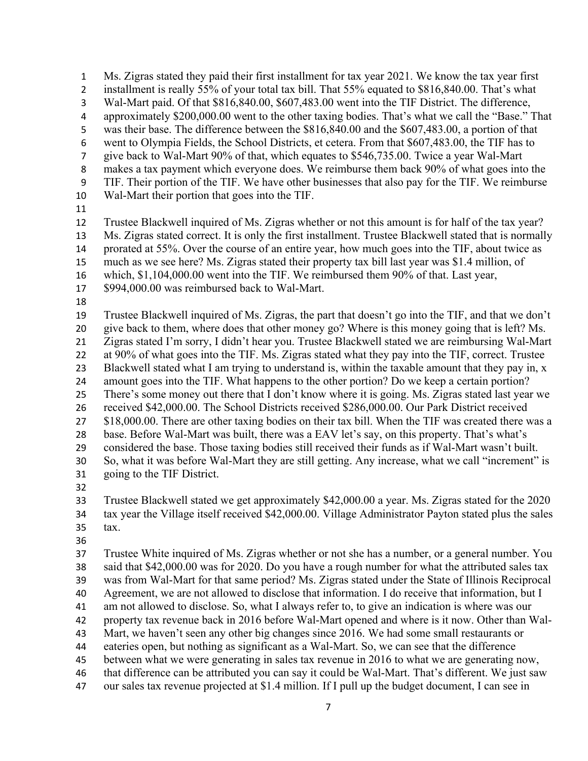Ms. Zigras stated they paid their first installment for tax year 2021. We know the tax year first 2 installment is really 55% of your total tax bill. That 55% equated to \$816,840.00. That's what Wal-Mart paid. Of that \$816,840.00, \$607,483.00 went into the TIF District. The difference, approximately \$200,000.00 went to the other taxing bodies. That's what we call the "Base." That was their base. The difference between the \$816,840.00 and the \$607,483.00, a portion of that went to Olympia Fields, the School Districts, et cetera. From that \$607,483.00, the TIF has to give back to Wal-Mart 90% of that, which equates to \$546,735.00. Twice a year Wal-Mart makes a tax payment which everyone does. We reimburse them back 90% of what goes into the TIF. Their portion of the TIF. We have other businesses that also pay for the TIF. We reimburse Wal-Mart their portion that goes into the TIF. Trustee Blackwell inquired of Ms. Zigras whether or not this amount is for half of the tax year? Ms. Zigras stated correct. It is only the first installment. Trustee Blackwell stated that is normally 14 prorated at 55%. Over the course of an entire year, how much goes into the TIF, about twice as much as we see here? Ms. Zigras stated their property tax bill last year was \$1.4 million, of which, \$1,104,000.00 went into the TIF. We reimbursed them 90% of that. Last year, \$994,000.00 was reimbursed back to Wal-Mart. Trustee Blackwell inquired of Ms. Zigras, the part that doesn't go into the TIF, and that we don't give back to them, where does that other money go? Where is this money going that is left? Ms. Zigras stated I'm sorry, I didn't hear you. Trustee Blackwell stated we are reimbursing Wal-Mart at 90% of what goes into the TIF. Ms. Zigras stated what they pay into the TIF, correct. Trustee 23 Blackwell stated what I am trying to understand is, within the taxable amount that they pay in, x amount goes into the TIF. What happens to the other portion? Do we keep a certain portion? There's some money out there that I don't know where it is going. Ms. Zigras stated last year we received \$42,000.00. The School Districts received \$286,000.00. Our Park District received 27 \$18,000.00. There are other taxing bodies on their tax bill. When the TIF was created there was a base. Before Wal-Mart was built, there was a EAV let's say, on this property. That's what's considered the base. Those taxing bodies still received their funds as if Wal-Mart wasn't built. So, what it was before Wal-Mart they are still getting. Any increase, what we call "increment" is going to the TIF District. Trustee Blackwell stated we get approximately \$42,000.00 a year. Ms. Zigras stated for the 2020 tax year the Village itself received \$42,000.00. Village Administrator Payton stated plus the sales tax.

 Trustee White inquired of Ms. Zigras whether or not she has a number, or a general number. You said that \$42,000.00 was for 2020. Do you have a rough number for what the attributed sales tax was from Wal-Mart for that same period? Ms. Zigras stated under the State of Illinois Reciprocal Agreement, we are not allowed to disclose that information. I do receive that information, but I am not allowed to disclose. So, what I always refer to, to give an indication is where was our property tax revenue back in 2016 before Wal-Mart opened and where is it now. Other than Wal- Mart, we haven't seen any other big changes since 2016. We had some small restaurants or eateries open, but nothing as significant as a Wal-Mart. So, we can see that the difference between what we were generating in sales tax revenue in 2016 to what we are generating now, that difference can be attributed you can say it could be Wal-Mart. That's different. We just saw our sales tax revenue projected at \$1.4 million. If I pull up the budget document, I can see in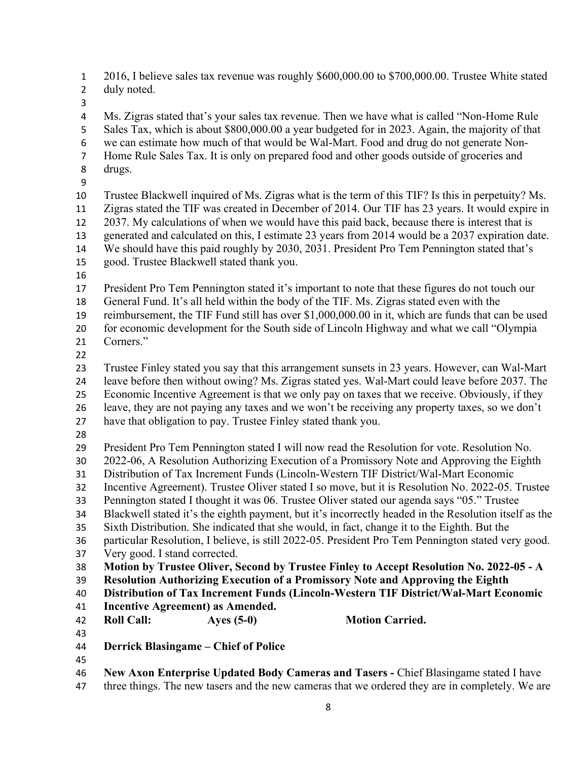2016, I believe sales tax revenue was roughly \$600,000.00 to \$700,000.00. Trustee White stated duly noted.

 Ms. Zigras stated that's your sales tax revenue. Then we have what is called "Non-Home Rule Sales Tax, which is about \$800,000.00 a year budgeted for in 2023. Again, the majority of that we can estimate how much of that would be Wal-Mart. Food and drug do not generate Non- Home Rule Sales Tax. It is only on prepared food and other goods outside of groceries and drugs. Trustee Blackwell inquired of Ms. Zigras what is the term of this TIF? Is this in perpetuity? Ms.

 Zigras stated the TIF was created in December of 2014. Our TIF has 23 years. It would expire in 2037. My calculations of when we would have this paid back, because there is interest that is

generated and calculated on this, I estimate 23 years from 2014 would be a 2037 expiration date.

- We should have this paid roughly by 2030, 2031. President Pro Tem Pennington stated that's
- good. Trustee Blackwell stated thank you.
- 

President Pro Tem Pennington stated it's important to note that these figures do not touch our

General Fund. It's all held within the body of the TIF. Ms. Zigras stated even with the

reimbursement, the TIF Fund still has over \$1,000,000.00 in it, which are funds that can be used

for economic development for the South side of Lincoln Highway and what we call "Olympia

- Corners."
- 

Trustee Finley stated you say that this arrangement sunsets in 23 years. However, can Wal-Mart

leave before then without owing? Ms. Zigras stated yes. Wal-Mart could leave before 2037. The

Economic Incentive Agreement is that we only pay on taxes that we receive. Obviously, if they

leave, they are not paying any taxes and we won't be receiving any property taxes, so we don't

- have that obligation to pay. Trustee Finley stated thank you.
- 

President Pro Tem Pennington stated I will now read the Resolution for vote. Resolution No.

2022-06, A Resolution Authorizing Execution of a Promissory Note and Approving the Eighth

Distribution of Tax Increment Funds (Lincoln-Western TIF District/Wal-Mart Economic

Incentive Agreement). Trustee Oliver stated I so move, but it is Resolution No. 2022-05. Trustee

Pennington stated I thought it was 06. Trustee Oliver stated our agenda says "05." Trustee

Blackwell stated it's the eighth payment, but it's incorrectly headed in the Resolution itself as the

Sixth Distribution. She indicated that she would, in fact, change it to the Eighth. But the

particular Resolution, I believe, is still 2022-05. President Pro Tem Pennington stated very good.

Very good. I stand corrected.

**Motion by Trustee Oliver, Second by Trustee Finley to Accept Resolution No. 2022-05 - A** 

**Resolution Authorizing Execution of a Promissory Note and Approving the Eighth** 

**Distribution of Tax Increment Funds (Lincoln-Western TIF District/Wal-Mart Economic** 

**Incentive Agreement) as Amended.** 

**Roll Call: Ayes (5-0) Motion Carried.** 

- **Derrick Blasingame Chief of Police**
- 

**New Axon Enterprise Updated Body Cameras and Tasers -** Chief Blasingame stated I have

47 three things. The new tasers and the new cameras that we ordered they are in completely. We are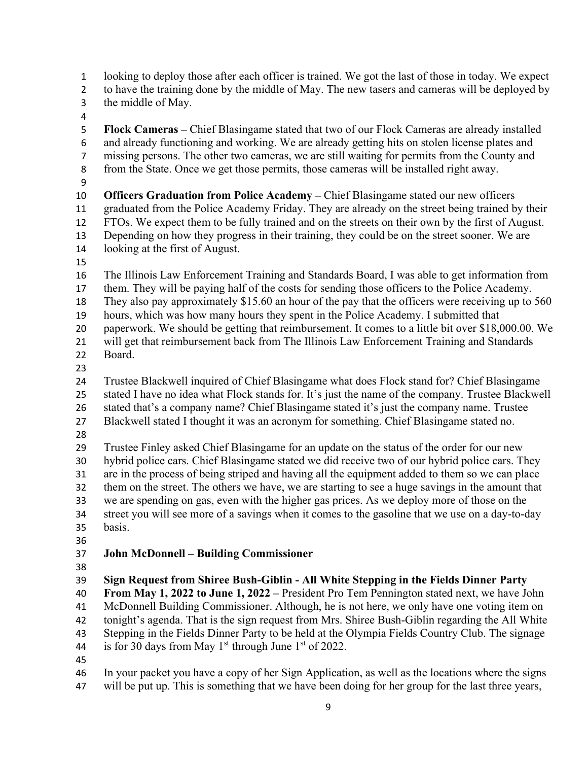looking to deploy those after each officer is trained. We got the last of those in today. We expect to have the training done by the middle of May. The new tasers and cameras will be deployed by the middle of May. **Flock Cameras –** Chief Blasingame stated that two of our Flock Cameras are already installed and already functioning and working. We are already getting hits on stolen license plates and missing persons. The other two cameras, we are still waiting for permits from the County and from the State. Once we get those permits, those cameras will be installed right away. **Officers Graduation from Police Academy –** Chief Blasingame stated our new officers graduated from the Police Academy Friday. They are already on the street being trained by their FTOs. We expect them to be fully trained and on the streets on their own by the first of August. Depending on how they progress in their training, they could be on the street sooner. We are looking at the first of August. The Illinois Law Enforcement Training and Standards Board, I was able to get information from them. They will be paying half of the costs for sending those officers to the Police Academy. They also pay approximately \$15.60 an hour of the pay that the officers were receiving up to 560 hours, which was how many hours they spent in the Police Academy. I submitted that paperwork. We should be getting that reimbursement. It comes to a little bit over \$18,000.00. We will get that reimbursement back from The Illinois Law Enforcement Training and Standards Board. Trustee Blackwell inquired of Chief Blasingame what does Flock stand for? Chief Blasingame stated I have no idea what Flock stands for. It's just the name of the company. Trustee Blackwell stated that's a company name? Chief Blasingame stated it's just the company name. Trustee Blackwell stated I thought it was an acronym for something. Chief Blasingame stated no. Trustee Finley asked Chief Blasingame for an update on the status of the order for our new hybrid police cars. Chief Blasingame stated we did receive two of our hybrid police cars. They are in the process of being striped and having all the equipment added to them so we can place them on the street. The others we have, we are starting to see a huge savings in the amount that we are spending on gas, even with the higher gas prices. As we deploy more of those on the street you will see more of a savings when it comes to the gasoline that we use on a day-to-day basis. **John McDonnell – Building Commissioner Sign Request from Shiree Bush-Giblin - All White Stepping in the Fields Dinner Party From May 1, 2022 to June 1, 2022 –** President Pro Tem Pennington stated next, we have John McDonnell Building Commissioner. Although, he is not here, we only have one voting item on tonight's agenda. That is the sign request from Mrs. Shiree Bush-Giblin regarding the All White Stepping in the Fields Dinner Party to be held at the Olympia Fields Country Club. The signage 44 is for 30 days from May  $1<sup>st</sup>$  through June  $1<sup>st</sup>$  of 2022. In your packet you have a copy of her Sign Application, as well as the locations where the signs will be put up. This is something that we have been doing for her group for the last three years,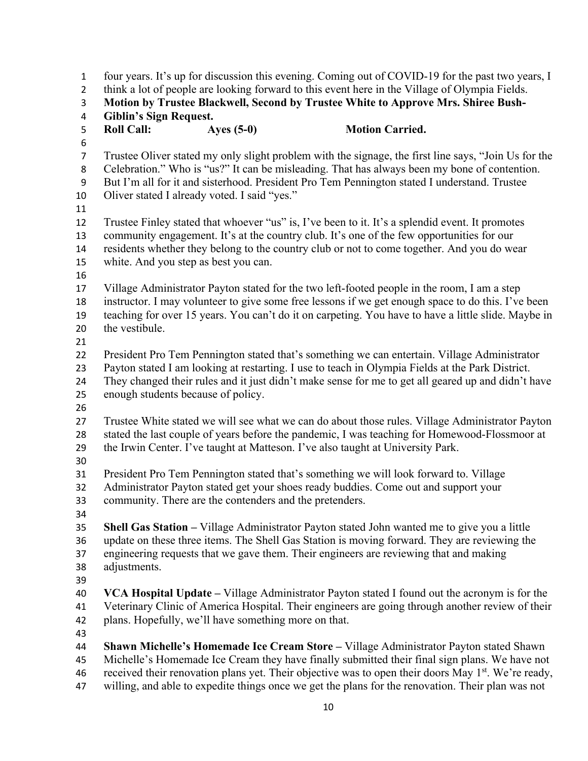four years. It's up for discussion this evening. Coming out of COVID-19 for the past two years, I think a lot of people are looking forward to this event here in the Village of Olympia Fields. **Motion by Trustee Blackwell, Second by Trustee White to Approve Mrs. Shiree Bush- Giblin's Sign Request. Roll Call: Ayes (5-0) Motion Carried.**  Trustee Oliver stated my only slight problem with the signage, the first line says, "Join Us for the Celebration." Who is "us?" It can be misleading. That has always been my bone of contention. But I'm all for it and sisterhood. President Pro Tem Pennington stated I understand. Trustee 10 Oliver stated I already voted. I said "yes." Trustee Finley stated that whoever "us" is, I've been to it. It's a splendid event. It promotes community engagement. It's at the country club. It's one of the few opportunities for our residents whether they belong to the country club or not to come together. And you do wear white. And you step as best you can. Village Administrator Payton stated for the two left-footed people in the room, I am a step instructor. I may volunteer to give some free lessons if we get enough space to do this. I've been teaching for over 15 years. You can't do it on carpeting. You have to have a little slide. Maybe in the vestibule. President Pro Tem Pennington stated that's something we can entertain. Village Administrator Payton stated I am looking at restarting. I use to teach in Olympia Fields at the Park District. They changed their rules and it just didn't make sense for me to get all geared up and didn't have enough students because of policy. Trustee White stated we will see what we can do about those rules. Village Administrator Payton stated the last couple of years before the pandemic, I was teaching for Homewood-Flossmoor at the Irwin Center. I've taught at Matteson. I've also taught at University Park. President Pro Tem Pennington stated that's something we will look forward to. Village Administrator Payton stated get your shoes ready buddies. Come out and support your community. There are the contenders and the pretenders. **Shell Gas Station –** Village Administrator Payton stated John wanted me to give you a little update on these three items. The Shell Gas Station is moving forward. They are reviewing the engineering requests that we gave them. Their engineers are reviewing that and making adjustments. **VCA Hospital Update –** Village Administrator Payton stated I found out the acronym is for the Veterinary Clinic of America Hospital. Their engineers are going through another review of their plans. Hopefully, we'll have something more on that. **Shawn Michelle's Homemade Ice Cream Store –** Village Administrator Payton stated Shawn Michelle's Homemade Ice Cream they have finally submitted their final sign plans. We have not 46 received their renovation plans yet. Their objective was to open their doors May  $1<sup>st</sup>$ . We're ready,

willing, and able to expedite things once we get the plans for the renovation. Their plan was not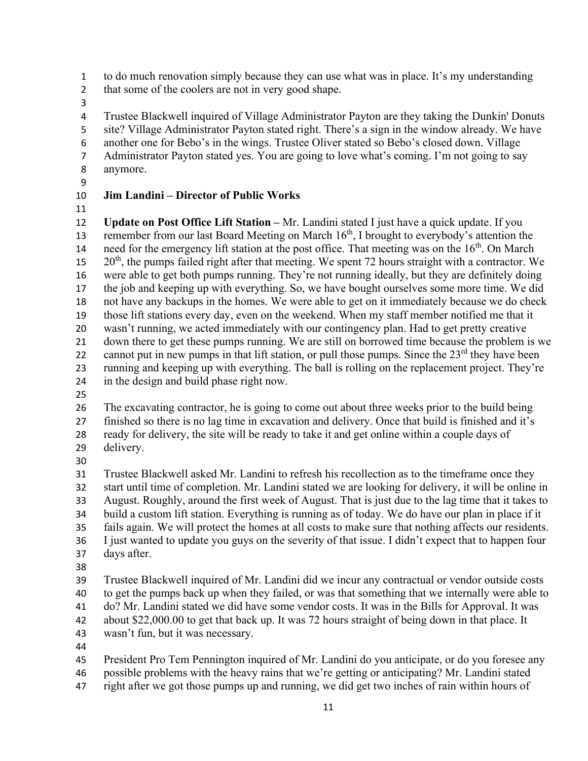to do much renovation simply because they can use what was in place. It's my understanding

- that some of the coolers are not in very good shape.
- 

4 Trustee Blackwell inquired of Village Administrator Payton are they taking the Dunkin' Donuts site? Village Administrator Payton stated right. There's a sign in the window already. We have another one for Bebo's in the wings. Trustee Oliver stated so Bebo's closed down. Village Administrator Payton stated yes. You are going to love what's coming. I'm not going to say anymore.

## **Jim Landini – Director of Public Works**

 **Update on Post Office Lift Station –** Mr. Landini stated I just have a quick update. If you 13 remember from our last Board Meeting on March  $16<sup>th</sup>$ , I brought to everybody's attention the need for the emergency lift station at the post office. That meeting was on the 16<sup>th</sup>. On March  $20<sup>th</sup>$ , the pumps failed right after that meeting. We spent 72 hours straight with a contractor. We were able to get both pumps running. They're not running ideally, but they are definitely doing the job and keeping up with everything. So, we have bought ourselves some more time. We did not have any backups in the homes. We were able to get on it immediately because we do check those lift stations every day, even on the weekend. When my staff member notified me that it wasn't running, we acted immediately with our contingency plan. Had to get pretty creative down there to get these pumps running. We are still on borrowed time because the problem is we 22 cannot put in new pumps in that lift station, or pull those pumps. Since the  $23<sup>rd</sup>$  they have been running and keeping up with everything. The ball is rolling on the replacement project. They're in the design and build phase right now.

The excavating contractor, he is going to come out about three weeks prior to the build being

 finished so there is no lag time in excavation and delivery. Once that build is finished and it's ready for delivery, the site will be ready to take it and get online within a couple days of

- delivery.
- 

 Trustee Blackwell asked Mr. Landini to refresh his recollection as to the timeframe once they start until time of completion. Mr. Landini stated we are looking for delivery, it will be online in August. Roughly, around the first week of August. That is just due to the lag time that it takes to build a custom lift station. Everything is running as of today. We do have our plan in place if it

fails again. We will protect the homes at all costs to make sure that nothing affects our residents.

 I just wanted to update you guys on the severity of that issue. I didn't expect that to happen four days after.

 Trustee Blackwell inquired of Mr. Landini did we incur any contractual or vendor outside costs to get the pumps back up when they failed, or was that something that we internally were able to do? Mr. Landini stated we did have some vendor costs. It was in the Bills for Approval. It was about \$22,000.00 to get that back up. It was 72 hours straight of being down in that place. It

wasn't fun, but it was necessary.

President Pro Tem Pennington inquired of Mr. Landini do you anticipate, or do you foresee any

possible problems with the heavy rains that we're getting or anticipating? Mr. Landini stated

right after we got those pumps up and running, we did get two inches of rain within hours of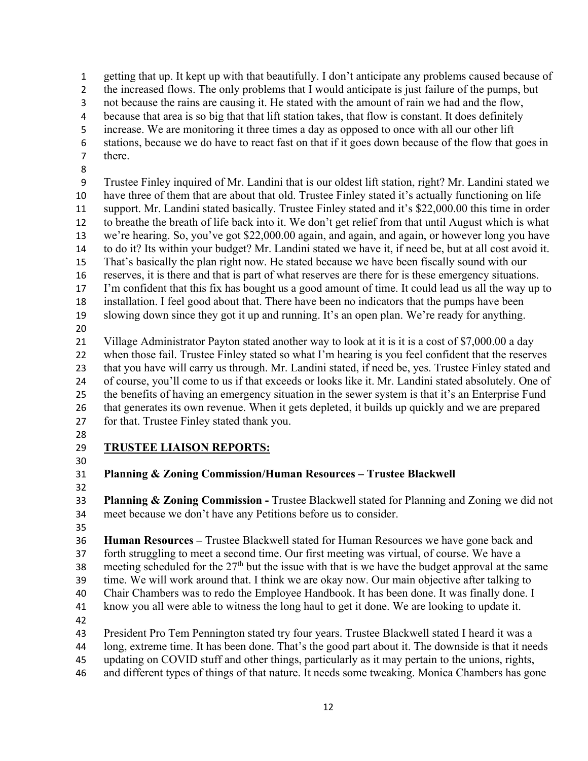getting that up. It kept up with that beautifully. I don't anticipate any problems caused because of

2 the increased flows. The only problems that I would anticipate is just failure of the pumps, but

not because the rains are causing it. He stated with the amount of rain we had and the flow,

because that area is so big that that lift station takes, that flow is constant. It does definitely

increase. We are monitoring it three times a day as opposed to once with all our other lift

 stations, because we do have to react fast on that if it goes down because of the flow that goes in there.

 Trustee Finley inquired of Mr. Landini that is our oldest lift station, right? Mr. Landini stated we have three of them that are about that old. Trustee Finley stated it's actually functioning on life support. Mr. Landini stated basically. Trustee Finley stated and it's \$22,000.00 this time in order to breathe the breath of life back into it. We don't get relief from that until August which is what we're hearing. So, you've got \$22,000.00 again, and again, and again, or however long you have to do it? Its within your budget? Mr. Landini stated we have it, if need be, but at all cost avoid it. That's basically the plan right now. He stated because we have been fiscally sound with our reserves, it is there and that is part of what reserves are there for is these emergency situations. I'm confident that this fix has bought us a good amount of time. It could lead us all the way up to installation. I feel good about that. There have been no indicators that the pumps have been slowing down since they got it up and running. It's an open plan. We're ready for anything. 

 Village Administrator Payton stated another way to look at it is it is a cost of \$7,000.00 a day when those fail. Trustee Finley stated so what I'm hearing is you feel confident that the reserves that you have will carry us through. Mr. Landini stated, if need be, yes. Trustee Finley stated and of course, you'll come to us if that exceeds or looks like it. Mr. Landini stated absolutely. One of the benefits of having an emergency situation in the sewer system is that it's an Enterprise Fund

that generates its own revenue. When it gets depleted, it builds up quickly and we are prepared

- for that. Trustee Finley stated thank you.
- 

## **TRUSTEE LIAISON REPORTS:**

**Planning & Zoning Commission/Human Resources – Trustee Blackwell** 

 **Planning & Zoning Commission -** Trustee Blackwell stated for Planning and Zoning we did not meet because we don't have any Petitions before us to consider.

 **Human Resources –** Trustee Blackwell stated for Human Resources we have gone back and forth struggling to meet a second time. Our first meeting was virtual, of course. We have a 38 meeting scheduled for the  $27<sup>th</sup>$  but the issue with that is we have the budget approval at the same time. We will work around that. I think we are okay now. Our main objective after talking to

Chair Chambers was to redo the Employee Handbook. It has been done. It was finally done. I

know you all were able to witness the long haul to get it done. We are looking to update it.

President Pro Tem Pennington stated try four years. Trustee Blackwell stated I heard it was a

long, extreme time. It has been done. That's the good part about it. The downside is that it needs

updating on COVID stuff and other things, particularly as it may pertain to the unions, rights,

and different types of things of that nature. It needs some tweaking. Monica Chambers has gone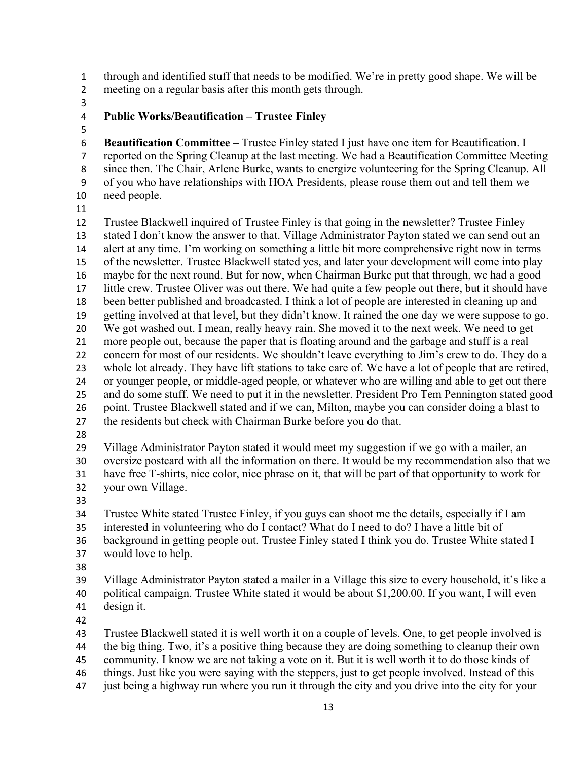through and identified stuff that needs to be modified. We're in pretty good shape. We will be meeting on a regular basis after this month gets through.

## **Public Works/Beautification – Trustee Finley**

 **Beautification Committee –** Trustee Finley stated I just have one item for Beautification. I reported on the Spring Cleanup at the last meeting. We had a Beautification Committee Meeting since then. The Chair, Arlene Burke, wants to energize volunteering for the Spring Cleanup. All of you who have relationships with HOA Presidents, please rouse them out and tell them we need people.

 Trustee Blackwell inquired of Trustee Finley is that going in the newsletter? Trustee Finley stated I don't know the answer to that. Village Administrator Payton stated we can send out an alert at any time. I'm working on something a little bit more comprehensive right now in terms of the newsletter. Trustee Blackwell stated yes, and later your development will come into play maybe for the next round. But for now, when Chairman Burke put that through, we had a good little crew. Trustee Oliver was out there. We had quite a few people out there, but it should have been better published and broadcasted. I think a lot of people are interested in cleaning up and getting involved at that level, but they didn't know. It rained the one day we were suppose to go. We got washed out. I mean, really heavy rain. She moved it to the next week. We need to get more people out, because the paper that is floating around and the garbage and stuff is a real concern for most of our residents. We shouldn't leave everything to Jim's crew to do. They do a whole lot already. They have lift stations to take care of. We have a lot of people that are retired, or younger people, or middle-aged people, or whatever who are willing and able to get out there and do some stuff. We need to put it in the newsletter. President Pro Tem Pennington stated good point. Trustee Blackwell stated and if we can, Milton, maybe you can consider doing a blast to the residents but check with Chairman Burke before you do that.

 Village Administrator Payton stated it would meet my suggestion if we go with a mailer, an oversize postcard with all the information on there. It would be my recommendation also that we have free T-shirts, nice color, nice phrase on it, that will be part of that opportunity to work for your own Village.

 Trustee White stated Trustee Finley, if you guys can shoot me the details, especially if I am interested in volunteering who do I contact? What do I need to do? I have a little bit of

background in getting people out. Trustee Finley stated I think you do. Trustee White stated I

- would love to help.
- 

 Village Administrator Payton stated a mailer in a Village this size to every household, it's like a political campaign. Trustee White stated it would be about \$1,200.00. If you want, I will even design it.

Trustee Blackwell stated it is well worth it on a couple of levels. One, to get people involved is

the big thing. Two, it's a positive thing because they are doing something to cleanup their own

- community. I know we are not taking a vote on it. But it is well worth it to do those kinds of things. Just like you were saying with the steppers, just to get people involved. Instead of this
- just being a highway run where you run it through the city and you drive into the city for your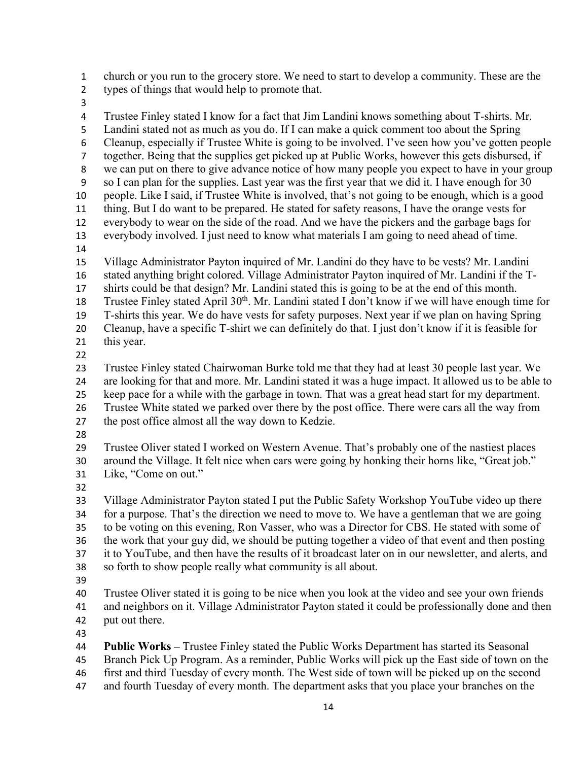church or you run to the grocery store. We need to start to develop a community. These are the

- types of things that would help to promote that.
- 

 Trustee Finley stated I know for a fact that Jim Landini knows something about T-shirts. Mr. Landini stated not as much as you do. If I can make a quick comment too about the Spring Cleanup, especially if Trustee White is going to be involved. I've seen how you've gotten people together. Being that the supplies get picked up at Public Works, however this gets disbursed, if we can put on there to give advance notice of how many people you expect to have in your group so I can plan for the supplies. Last year was the first year that we did it. I have enough for 30 people. Like I said, if Trustee White is involved, that's not going to be enough, which is a good thing. But I do want to be prepared. He stated for safety reasons, I have the orange vests for everybody to wear on the side of the road. And we have the pickers and the garbage bags for everybody involved. I just need to know what materials I am going to need ahead of time. Village Administrator Payton inquired of Mr. Landini do they have to be vests? Mr. Landini stated anything bright colored. Village Administrator Payton inquired of Mr. Landini if the T- shirts could be that design? Mr. Landini stated this is going to be at the end of this month. 18 Trustee Finley stated April  $30<sup>th</sup>$ . Mr. Landini stated I don't know if we will have enough time for T-shirts this year. We do have vests for safety purposes. Next year if we plan on having Spring Cleanup, have a specific T-shirt we can definitely do that. I just don't know if it is feasible for this year. Trustee Finley stated Chairwoman Burke told me that they had at least 30 people last year. We are looking for that and more. Mr. Landini stated it was a huge impact. It allowed us to be able to keep pace for a while with the garbage in town. That was a great head start for my department. Trustee White stated we parked over there by the post office. There were cars all the way from the post office almost all the way down to Kedzie. Trustee Oliver stated I worked on Western Avenue. That's probably one of the nastiest places around the Village. It felt nice when cars were going by honking their horns like, "Great job." Like, "Come on out." Village Administrator Payton stated I put the Public Safety Workshop YouTube video up there for a purpose. That's the direction we need to move to. We have a gentleman that we are going to be voting on this evening, Ron Vasser, who was a Director for CBS. He stated with some of the work that your guy did, we should be putting together a video of that event and then posting it to YouTube, and then have the results of it broadcast later on in our newsletter, and alerts, and so forth to show people really what community is all about. Trustee Oliver stated it is going to be nice when you look at the video and see your own friends and neighbors on it. Village Administrator Payton stated it could be professionally done and then put out there. **Public Works –** Trustee Finley stated the Public Works Department has started its Seasonal Branch Pick Up Program. As a reminder, Public Works will pick up the East side of town on the first and third Tuesday of every month. The West side of town will be picked up on the second

and fourth Tuesday of every month. The department asks that you place your branches on the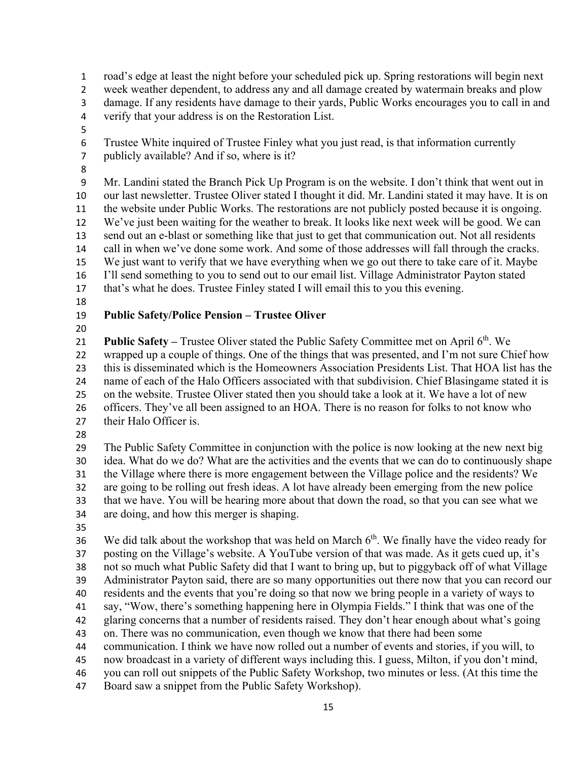road's edge at least the night before your scheduled pick up. Spring restorations will begin next week weather dependent, to address any and all damage created by watermain breaks and plow damage. If any residents have damage to their yards, Public Works encourages you to call in and verify that your address is on the Restoration List. Trustee White inquired of Trustee Finley what you just read, is that information currently publicly available? And if so, where is it? Mr. Landini stated the Branch Pick Up Program is on the website. I don't think that went out in our last newsletter. Trustee Oliver stated I thought it did. Mr. Landini stated it may have. It is on the website under Public Works. The restorations are not publicly posted because it is ongoing. We've just been waiting for the weather to break. It looks like next week will be good. We can send out an e-blast or something like that just to get that communication out. Not all residents call in when we've done some work. And some of those addresses will fall through the cracks. We just want to verify that we have everything when we go out there to take care of it. Maybe I'll send something to you to send out to our email list. Village Administrator Payton stated that's what he does. Trustee Finley stated I will email this to you this evening. **Public Safety/Police Pension – Trustee Oliver Public Safety – Trustee Oliver stated the Public Safety Committee met on April 6<sup>th</sup>. We**  wrapped up a couple of things. One of the things that was presented, and I'm not sure Chief how this is disseminated which is the Homeowners Association Presidents List. That HOA list has the name of each of the Halo Officers associated with that subdivision. Chief Blasingame stated it is on the website. Trustee Oliver stated then you should take a look at it. We have a lot of new officers. They've all been assigned to an HOA. There is no reason for folks to not know who their Halo Officer is. The Public Safety Committee in conjunction with the police is now looking at the new next big idea. What do we do? What are the activities and the events that we can do to continuously shape the Village where there is more engagement between the Village police and the residents? We are going to be rolling out fresh ideas. A lot have already been emerging from the new police that we have. You will be hearing more about that down the road, so that you can see what we are doing, and how this merger is shaping. 36 We did talk about the workshop that was held on March  $6<sup>th</sup>$ . We finally have the video ready for posting on the Village's website. A YouTube version of that was made. As it gets cued up, it's not so much what Public Safety did that I want to bring up, but to piggyback off of what Village Administrator Payton said, there are so many opportunities out there now that you can record our residents and the events that you're doing so that now we bring people in a variety of ways to say, "Wow, there's something happening here in Olympia Fields." I think that was one of the glaring concerns that a number of residents raised. They don't hear enough about what's going on. There was no communication, even though we know that there had been some communication. I think we have now rolled out a number of events and stories, if you will, to now broadcast in a variety of different ways including this. I guess, Milton, if you don't mind, you can roll out snippets of the Public Safety Workshop, two minutes or less. (At this time the Board saw a snippet from the Public Safety Workshop).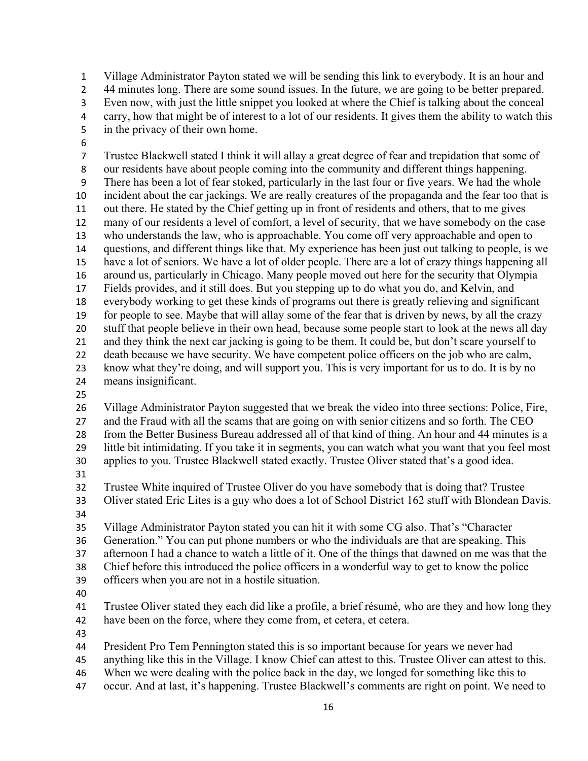Village Administrator Payton stated we will be sending this link to everybody. It is an hour and 2 44 minutes long. There are some sound issues. In the future, we are going to be better prepared. Even now, with just the little snippet you looked at where the Chief is talking about the conceal carry, how that might be of interest to a lot of our residents. It gives them the ability to watch this in the privacy of their own home.

 Trustee Blackwell stated I think it will allay a great degree of fear and trepidation that some of our residents have about people coming into the community and different things happening. There has been a lot of fear stoked, particularly in the last four or five years. We had the whole incident about the car jackings. We are really creatures of the propaganda and the fear too that is out there. He stated by the Chief getting up in front of residents and others, that to me gives many of our residents a level of comfort, a level of security, that we have somebody on the case who understands the law, who is approachable. You come off very approachable and open to questions, and different things like that. My experience has been just out talking to people, is we have a lot of seniors. We have a lot of older people. There are a lot of crazy things happening all around us, particularly in Chicago. Many people moved out here for the security that Olympia Fields provides, and it still does. But you stepping up to do what you do, and Kelvin, and everybody working to get these kinds of programs out there is greatly relieving and significant for people to see. Maybe that will allay some of the fear that is driven by news, by all the crazy stuff that people believe in their own head, because some people start to look at the news all day and they think the next car jacking is going to be them. It could be, but don't scare yourself to 22 death because we have security. We have competent police officers on the job who are calm, know what they're doing, and will support you. This is very important for us to do. It is by no means insignificant.

 Village Administrator Payton suggested that we break the video into three sections: Police, Fire, and the Fraud with all the scams that are going on with senior citizens and so forth. The CEO from the Better Business Bureau addressed all of that kind of thing. An hour and 44 minutes is a little bit intimidating. If you take it in segments, you can watch what you want that you feel most applies to you. Trustee Blackwell stated exactly. Trustee Oliver stated that's a good idea.

Trustee White inquired of Trustee Oliver do you have somebody that is doing that? Trustee

 Oliver stated Eric Lites is a guy who does a lot of School District 162 stuff with Blondean Davis. 

Village Administrator Payton stated you can hit it with some CG also. That's "Character

Generation." You can put phone numbers or who the individuals are that are speaking. This

afternoon I had a chance to watch a little of it. One of the things that dawned on me was that the

Chief before this introduced the police officers in a wonderful way to get to know the police

- officers when you are not in a hostile situation.
- 

 Trustee Oliver stated they each did like a profile, a brief résumé, who are they and how long they have been on the force, where they come from, et cetera, et cetera.

President Pro Tem Pennington stated this is so important because for years we never had

anything like this in the Village. I know Chief can attest to this. Trustee Oliver can attest to this.

- When we were dealing with the police back in the day, we longed for something like this to
- occur. And at last, it's happening. Trustee Blackwell's comments are right on point. We need to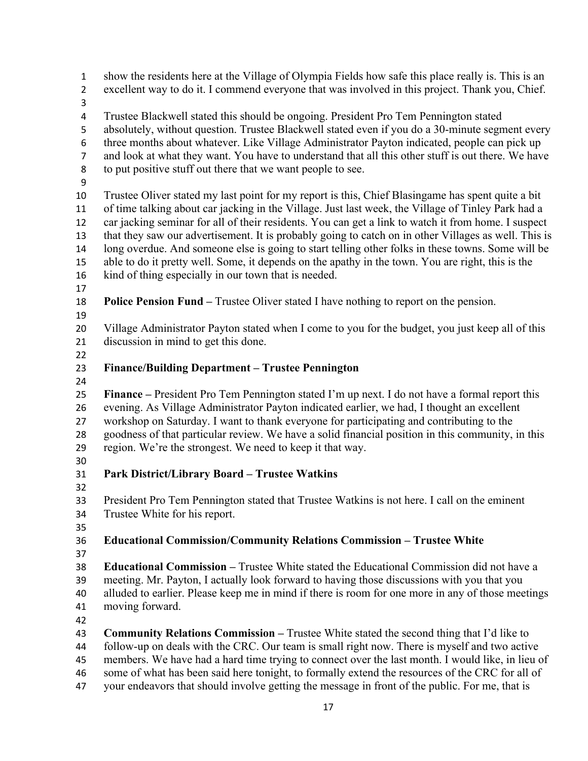show the residents here at the Village of Olympia Fields how safe this place really is. This is an excellent way to do it. I commend everyone that was involved in this project. Thank you, Chief. Trustee Blackwell stated this should be ongoing. President Pro Tem Pennington stated absolutely, without question. Trustee Blackwell stated even if you do a 30-minute segment every three months about whatever. Like Village Administrator Payton indicated, people can pick up and look at what they want. You have to understand that all this other stuff is out there. We have to put positive stuff out there that we want people to see. Trustee Oliver stated my last point for my report is this, Chief Blasingame has spent quite a bit of time talking about car jacking in the Village. Just last week, the Village of Tinley Park had a car jacking seminar for all of their residents. You can get a link to watch it from home. I suspect that they saw our advertisement. It is probably going to catch on in other Villages as well. This is long overdue. And someone else is going to start telling other folks in these towns. Some will be able to do it pretty well. Some, it depends on the apathy in the town. You are right, this is the kind of thing especially in our town that is needed. **Police Pension Fund –** Trustee Oliver stated I have nothing to report on the pension. Village Administrator Payton stated when I come to you for the budget, you just keep all of this discussion in mind to get this done. **Finance/Building Department – Trustee Pennington Finance –** President Pro Tem Pennington stated I'm up next. I do not have a formal report this evening. As Village Administrator Payton indicated earlier, we had, I thought an excellent workshop on Saturday. I want to thank everyone for participating and contributing to the goodness of that particular review. We have a solid financial position in this community, in this region. We're the strongest. We need to keep it that way. **Park District/Library Board – Trustee Watkins**  President Pro Tem Pennington stated that Trustee Watkins is not here. I call on the eminent Trustee White for his report. **Educational Commission/Community Relations Commission – Trustee White Educational Commission –** Trustee White stated the Educational Commission did not have a meeting. Mr. Payton, I actually look forward to having those discussions with you that you alluded to earlier. Please keep me in mind if there is room for one more in any of those meetings moving forward. **Community Relations Commission –** Trustee White stated the second thing that I'd like to follow-up on deals with the CRC. Our team is small right now. There is myself and two active members. We have had a hard time trying to connect over the last month. I would like, in lieu of some of what has been said here tonight, to formally extend the resources of the CRC for all of your endeavors that should involve getting the message in front of the public. For me, that is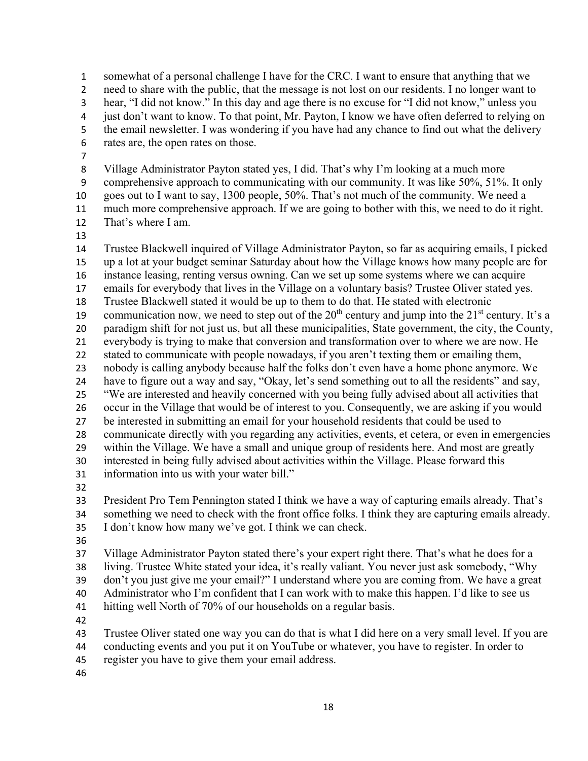somewhat of a personal challenge I have for the CRC. I want to ensure that anything that we need to share with the public, that the message is not lost on our residents. I no longer want to hear, "I did not know." In this day and age there is no excuse for "I did not know," unless you just don't want to know. To that point, Mr. Payton, I know we have often deferred to relying on the email newsletter. I was wondering if you have had any chance to find out what the delivery rates are, the open rates on those.

 Village Administrator Payton stated yes, I did. That's why I'm looking at a much more comprehensive approach to communicating with our community. It was like 50%, 51%. It only goes out to I want to say, 1300 people, 50%. That's not much of the community. We need a much more comprehensive approach. If we are going to bother with this, we need to do it right. That's where I am.

 Trustee Blackwell inquired of Village Administrator Payton, so far as acquiring emails, I picked up a lot at your budget seminar Saturday about how the Village knows how many people are for instance leasing, renting versus owning. Can we set up some systems where we can acquire emails for everybody that lives in the Village on a voluntary basis? Trustee Oliver stated yes. Trustee Blackwell stated it would be up to them to do that. He stated with electronic 19 communication now, we need to step out of the  $20<sup>th</sup>$  century and jump into the  $21<sup>st</sup>$  century. It's a paradigm shift for not just us, but all these municipalities, State government, the city, the County, everybody is trying to make that conversion and transformation over to where we are now. He stated to communicate with people nowadays, if you aren't texting them or emailing them, nobody is calling anybody because half the folks don't even have a home phone anymore. We have to figure out a way and say, "Okay, let's send something out to all the residents" and say, "We are interested and heavily concerned with you being fully advised about all activities that occur in the Village that would be of interest to you. Consequently, we are asking if you would be interested in submitting an email for your household residents that could be used to communicate directly with you regarding any activities, events, et cetera, or even in emergencies within the Village. We have a small and unique group of residents here. And most are greatly interested in being fully advised about activities within the Village. Please forward this information into us with your water bill." 

 President Pro Tem Pennington stated I think we have a way of capturing emails already. That's something we need to check with the front office folks. I think they are capturing emails already. I don't know how many we've got. I think we can check.

 Village Administrator Payton stated there's your expert right there. That's what he does for a living. Trustee White stated your idea, it's really valiant. You never just ask somebody, "Why don't you just give me your email?" I understand where you are coming from. We have a great Administrator who I'm confident that I can work with to make this happen. I'd like to see us hitting well North of 70% of our households on a regular basis.

Trustee Oliver stated one way you can do that is what I did here on a very small level. If you are

- conducting events and you put it on YouTube or whatever, you have to register. In order to
- register you have to give them your email address.
-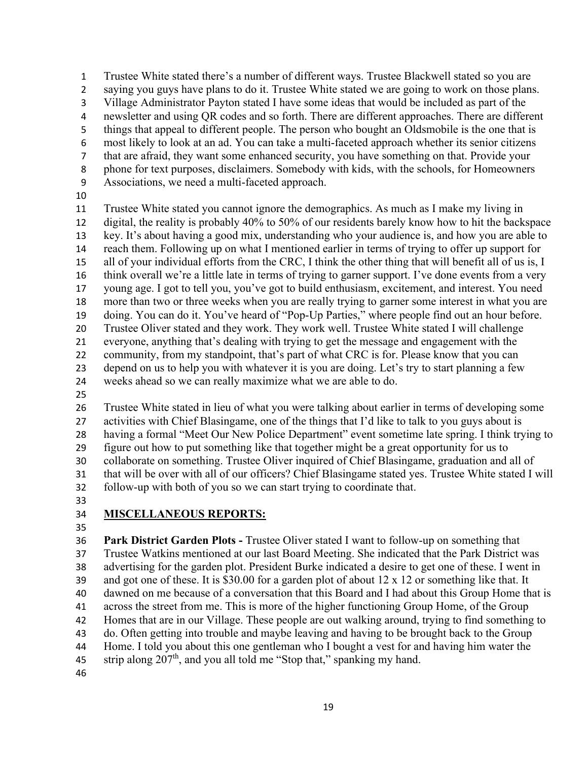Trustee White stated there's a number of different ways. Trustee Blackwell stated so you are saying you guys have plans to do it. Trustee White stated we are going to work on those plans. Village Administrator Payton stated I have some ideas that would be included as part of the newsletter and using QR codes and so forth. There are different approaches. There are different things that appeal to different people. The person who bought an Oldsmobile is the one that is most likely to look at an ad. You can take a multi-faceted approach whether its senior citizens that are afraid, they want some enhanced security, you have something on that. Provide your phone for text purposes, disclaimers. Somebody with kids, with the schools, for Homeowners Associations, we need a multi-faceted approach.

 Trustee White stated you cannot ignore the demographics. As much as I make my living in digital, the reality is probably 40% to 50% of our residents barely know how to hit the backspace key. It's about having a good mix, understanding who your audience is, and how you are able to reach them. Following up on what I mentioned earlier in terms of trying to offer up support for all of your individual efforts from the CRC, I think the other thing that will benefit all of us is, I think overall we're a little late in terms of trying to garner support. I've done events from a very young age. I got to tell you, you've got to build enthusiasm, excitement, and interest. You need more than two or three weeks when you are really trying to garner some interest in what you are doing. You can do it. You've heard of "Pop-Up Parties," where people find out an hour before. Trustee Oliver stated and they work. They work well. Trustee White stated I will challenge everyone, anything that's dealing with trying to get the message and engagement with the 22 community, from my standpoint, that's part of what CRC is for. Please know that you can depend on us to help you with whatever it is you are doing. Let's try to start planning a few weeks ahead so we can really maximize what we are able to do.

 Trustee White stated in lieu of what you were talking about earlier in terms of developing some activities with Chief Blasingame, one of the things that I'd like to talk to you guys about is having a formal "Meet Our New Police Department" event sometime late spring. I think trying to figure out how to put something like that together might be a great opportunity for us to collaborate on something. Trustee Oliver inquired of Chief Blasingame, graduation and all of that will be over with all of our officers? Chief Blasingame stated yes. Trustee White stated I will follow-up with both of you so we can start trying to coordinate that.

# **MISCELLANEOUS REPORTS:**

 **Park District Garden Plots -** Trustee Oliver stated I want to follow-up on something that Trustee Watkins mentioned at our last Board Meeting. She indicated that the Park District was advertising for the garden plot. President Burke indicated a desire to get one of these. I went in and got one of these. It is \$30.00 for a garden plot of about 12 x 12 or something like that. It dawned on me because of a conversation that this Board and I had about this Group Home that is across the street from me. This is more of the higher functioning Group Home, of the Group Homes that are in our Village. These people are out walking around, trying to find something to do. Often getting into trouble and maybe leaving and having to be brought back to the Group Home. I told you about this one gentleman who I bought a vest for and having him water the 45 strip along  $207<sup>th</sup>$ , and you all told me "Stop that," spanking my hand.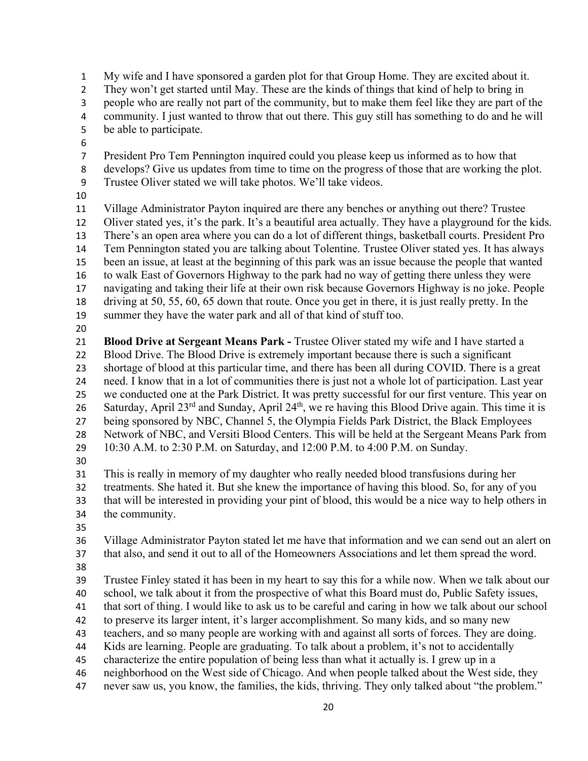My wife and I have sponsored a garden plot for that Group Home. They are excited about it. They won't get started until May. These are the kinds of things that kind of help to bring in people who are really not part of the community, but to make them feel like they are part of the community. I just wanted to throw that out there. This guy still has something to do and he will be able to participate. President Pro Tem Pennington inquired could you please keep us informed as to how that develops? Give us updates from time to time on the progress of those that are working the plot. Trustee Oliver stated we will take photos. We'll take videos. Village Administrator Payton inquired are there any benches or anything out there? Trustee Oliver stated yes, it's the park. It's a beautiful area actually. They have a playground for the kids. There's an open area where you can do a lot of different things, basketball courts. President Pro Tem Pennington stated you are talking about Tolentine. Trustee Oliver stated yes. It has always been an issue, at least at the beginning of this park was an issue because the people that wanted to walk East of Governors Highway to the park had no way of getting there unless they were navigating and taking their life at their own risk because Governors Highway is no joke. People driving at 50, 55, 60, 65 down that route. Once you get in there, it is just really pretty. In the summer they have the water park and all of that kind of stuff too. **Blood Drive at Sergeant Means Park -** Trustee Oliver stated my wife and I have started a Blood Drive. The Blood Drive is extremely important because there is such a significant shortage of blood at this particular time, and there has been all during COVID. There is a great need. I know that in a lot of communities there is just not a whole lot of participation. Last year we conducted one at the Park District. It was pretty successful for our first venture. This year on 26 Saturday, April  $23^{rd}$  and Sunday, April  $24^{th}$ , we re having this Blood Drive again. This time it is being sponsored by NBC, Channel 5, the Olympia Fields Park District, the Black Employees Network of NBC, and Versiti Blood Centers. This will be held at the Sergeant Means Park from 10:30 A.M. to 2:30 P.M. on Saturday, and 12:00 P.M. to 4:00 P.M. on Sunday. This is really in memory of my daughter who really needed blood transfusions during her treatments. She hated it. But she knew the importance of having this blood. So, for any of you that will be interested in providing your pint of blood, this would be a nice way to help others in the community. Village Administrator Payton stated let me have that information and we can send out an alert on that also, and send it out to all of the Homeowners Associations and let them spread the word. Trustee Finley stated it has been in my heart to say this for a while now. When we talk about our school, we talk about it from the prospective of what this Board must do, Public Safety issues, that sort of thing. I would like to ask us to be careful and caring in how we talk about our school to preserve its larger intent, it's larger accomplishment. So many kids, and so many new teachers, and so many people are working with and against all sorts of forces. They are doing. Kids are learning. People are graduating. To talk about a problem, it's not to accidentally characterize the entire population of being less than what it actually is. I grew up in a neighborhood on the West side of Chicago. And when people talked about the West side, they never saw us, you know, the families, the kids, thriving. They only talked about "the problem."